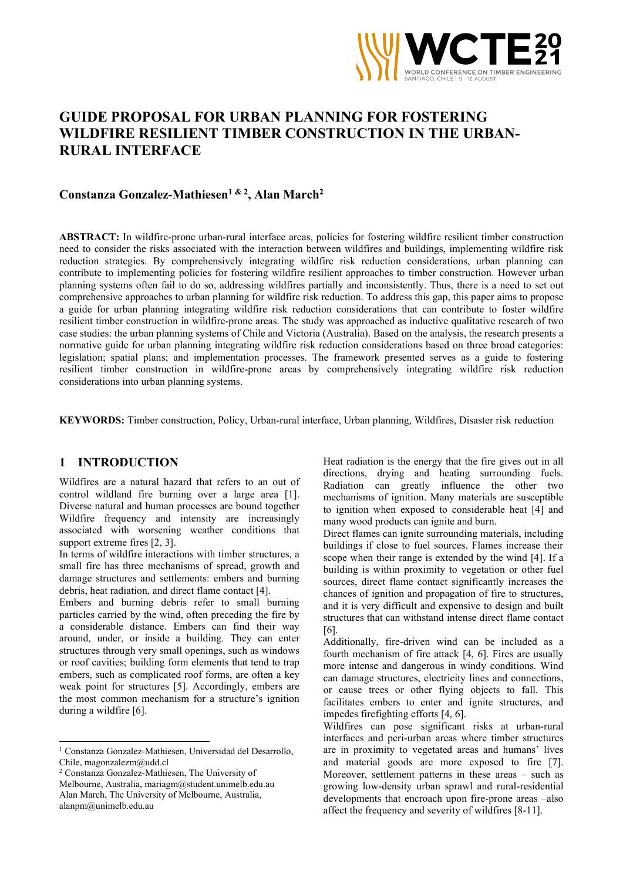

# GUIDE PROPOSAL FOR URBAN PLANNING FOR FOSTERING WILDFIRE RESILIENT TIMBER CONSTRUCTION IN THE URBAN-RURAL INTERFACE

# Constanza Gonzalez-Mathiesen<sup>1 & 2</sup>, Alan March<sup>2</sup>

ABSTRACT: In wildfire-prone urban-rural interface areas, policies for fostering wildfire resilient timber construction need to consider the risks associated with the interaction between wildfires and buildings, implementing wildfire risk reduction strategies. By comprehensively integrating wildfire risk reduction considerations, urban planning can contribute to implementing policies for fostering wildfire resilient approaches to timber construction. However urban planning systems often fail to do so, addressing wildfires partially and inconsistently. Thus, there is a need to set out comprehensive approaches to urban planning for wildfire risk reduction. To address this gap, this paper aims to propose a guide for urban planning integrating wildfire risk reduction considerations that can contribute to foster wildfire resilient timber construction in wildfire-prone areas. The study was approached as inductive qualitative research of two case studies: the urban planning systems of Chile and Victoria (Australia). Based on the analysis, the research presents a normative guide for urban planning integrating wildfire risk reduction considerations based on three broad categories: legislation; spatial plans; and implementation processes. The framework presented serves as a guide to fostering resilient timber construction in wildfire-prone areas by comprehensively integrating wildfire risk reduction considerations into urban planning systems.

KEYWORDS: Timber construction, Policy, Urban-rural interface, Urban planning, Wildfires, Disaster risk reduction

# 1 INTRODUCTION

Wildfires are a natural hazard that refers to an out of control wildland fire burning over a large area [1]. Diverse natural and human processes are bound together Wildfire frequency and intensity are increasingly associated with worsening weather conditions that support extreme fires [2, 3].

In terms of wildfire interactions with timber structures, a small fire has three mechanisms of spread, growth and damage structures and settlements: embers and burning debris, heat radiation, and direct flame contact [4].

Embers and burning debris refer to small burning particles carried by the wind, often preceding the fire by a considerable distance. Embers can find their way around, under, or inside a building. They can enter structures through very small openings, such as windows or roof cavities; building form elements that tend to trap embers, such as complicated roof forms, are often a key weak point for structures [5]. Accordingly, embers are the most common mechanism for a structure's ignition during a wildfire [6].

2 Constanza Gonzalez-Mathiesen, The University of

Melbourne, Australia, mariagm@student.unimelb.edu.au Alan March, The University of Melbourne, Australia, alanpm@unimelb.edu.au

Heat radiation is the energy that the fire gives out in all directions, drying and heating surrounding fuels. Radiation can greatly influence the other two mechanisms of ignition. Many materials are susceptible to ignition when exposed to considerable heat [4] and many wood products can ignite and burn.

Direct flames can ignite surrounding materials, including buildings if close to fuel sources. Flames increase their scope when their range is extended by the wind [4]. If a building is within proximity to vegetation or other fuel sources, direct flame contact significantly increases the chances of ignition and propagation of fire to structures, and it is very difficult and expensive to design and built structures that can withstand intense direct flame contact [6].

Additionally, fire-driven wind can be included as a fourth mechanism of fire attack [4, 6]. Fires are usually more intense and dangerous in windy conditions. Wind can damage structures, electricity lines and connections, or cause trees or other flying objects to fall. This facilitates embers to enter and ignite structures, and impedes firefighting efforts [4, 6].

Wildfires can pose significant risks at urban-rural interfaces and peri-urban areas where timber structures are in proximity to vegetated areas and humans' lives and material goods are more exposed to fire [7]. Moreover, settlement patterns in these areas – such as growing low-density urban sprawl and rural-residential developments that encroach upon fire-prone areas –also affect the frequency and severity of wildfires [8-11].

<sup>1</sup> Constanza Gonzalez-Mathiesen, Universidad del Desarrollo, Chile, magonzalezm@udd.cl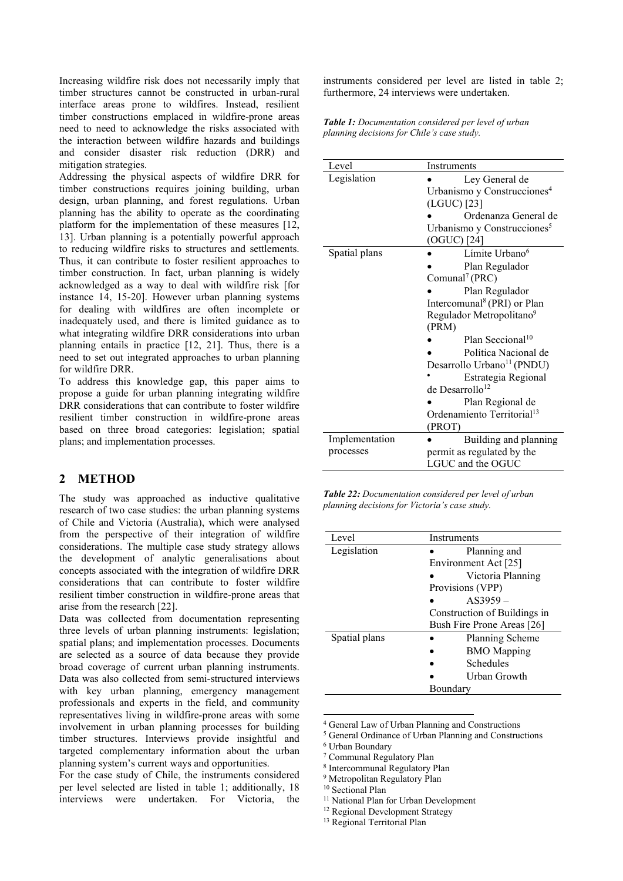Increasing wildfire risk does not necessarily imply that timber structures cannot be constructed in urban-rural interface areas prone to wildfires. Instead, resilient timber constructions emplaced in wildfire-prone areas need to need to acknowledge the risks associated with the interaction between wildfire hazards and buildings and consider disaster risk reduction (DRR) and mitigation strategies.

Addressing the physical aspects of wildfire DRR for timber constructions requires joining building, urban design, urban planning, and forest regulations. Urban planning has the ability to operate as the coordinating platform for the implementation of these measures [12, 13]. Urban planning is a potentially powerful approach to reducing wildfire risks to structures and settlements. Thus, it can contribute to foster resilient approaches to timber construction. In fact, urban planning is widely acknowledged as a way to deal with wildfire risk [for instance 14, 15-20]. However urban planning systems for dealing with wildfires are often incomplete or inadequately used, and there is limited guidance as to what integrating wildfire DRR considerations into urban planning entails in practice [12, 21]. Thus, there is a need to set out integrated approaches to urban planning for wildfire DRR.

To address this knowledge gap, this paper aims to propose a guide for urban planning integrating wildfire DRR considerations that can contribute to foster wildfire resilient timber construction in wildfire-prone areas based on three broad categories: legislation; spatial plans; and implementation processes.

### 2 METHOD

The study was approached as inductive qualitative research of two case studies: the urban planning systems of Chile and Victoria (Australia), which were analysed from the perspective of their integration of wildfire considerations. The multiple case study strategy allows the development of analytic generalisations about concepts associated with the integration of wildfire DRR considerations that can contribute to foster wildfire resilient timber construction in wildfire-prone areas that arise from the research [22].

Data was collected from documentation representing three levels of urban planning instruments: legislation; spatial plans; and implementation processes. Documents are selected as a source of data because they provide broad coverage of current urban planning instruments. Data was also collected from semi-structured interviews with key urban planning, emergency management professionals and experts in the field, and community representatives living in wildfire-prone areas with some involvement in urban planning processes for building timber structures. Interviews provide insightful and targeted complementary information about the urban planning system's current ways and opportunities.

For the case study of Chile, the instruments considered per level selected are listed in table 1; additionally, 18 interviews were undertaken. For Victoria, the instruments considered per level are listed in table 2; furthermore, 24 interviews were undertaken.

Table 1: Documentation considered per level of urban planning decisions for Chile's case study.

| Level          | Instruments                                                                                                                                 |  |  |
|----------------|---------------------------------------------------------------------------------------------------------------------------------------------|--|--|
| Legislation    | Ley General de<br>Urbanismo y Construcciones <sup>4</sup><br>(LGUC) [23]<br>Ordenanza General de<br>Urbanismo y Construcciones <sup>5</sup> |  |  |
|                | (OGUC) [24]                                                                                                                                 |  |  |
| Spatial plans  | Límite Urbano <sup>6</sup>                                                                                                                  |  |  |
|                | Plan Regulador<br>Comunal <sup>7</sup> (PRC)                                                                                                |  |  |
|                | Plan Regulador                                                                                                                              |  |  |
|                | Intercomunal <sup>8</sup> (PRI) or Plan<br>Regulador Metropolitano <sup>9</sup>                                                             |  |  |
|                | (PRM)                                                                                                                                       |  |  |
|                | Plan Seccional <sup>10</sup>                                                                                                                |  |  |
|                | Política Nacional de                                                                                                                        |  |  |
|                | Desarrollo Urbano <sup>11</sup> (PNDU)                                                                                                      |  |  |
|                | Estrategia Regional                                                                                                                         |  |  |
|                | de Desarrollo <sup>12</sup>                                                                                                                 |  |  |
|                | Plan Regional de                                                                                                                            |  |  |
|                | Ordenamiento Territorial <sup>13</sup>                                                                                                      |  |  |
|                | (PROT)                                                                                                                                      |  |  |
| Implementation | Building and planning                                                                                                                       |  |  |
| processes      | permit as regulated by the                                                                                                                  |  |  |
|                | LGUC and the OGUC                                                                                                                           |  |  |

Table 22: Documentation considered per level of urban planning decisions for Victoria's case study.

| Level         | Instruments                  |
|---------------|------------------------------|
| Legislation   | Planning and                 |
|               | Environment Act [25]         |
|               | Victoria Planning            |
|               | Provisions (VPP)             |
|               | $AS3959-$                    |
|               | Construction of Buildings in |
|               | Bush Fire Prone Areas [26]   |
| Spatial plans | Planning Scheme              |
|               | <b>BMO</b> Mapping           |
|               | Schedules                    |
|               | Urban Growth                 |
|               | Boundary                     |

4 General Law of Urban Planning and Constructions

5 General Ordinance of Urban Planning and Constructions

6 Urban Boundary

7 Communal Regulatory Plan

8 Intercommunal Regulatory Plan

<sup>&</sup>lt;sup>9</sup> Metropolitan Regulatory Plan

<sup>&</sup>lt;sup>10</sup> Sectional Plan

<sup>&</sup>lt;sup>11</sup> National Plan for Urban Development

<sup>&</sup>lt;sup>12</sup> Regional Development Strategy

<sup>13</sup> Regional Territorial Plan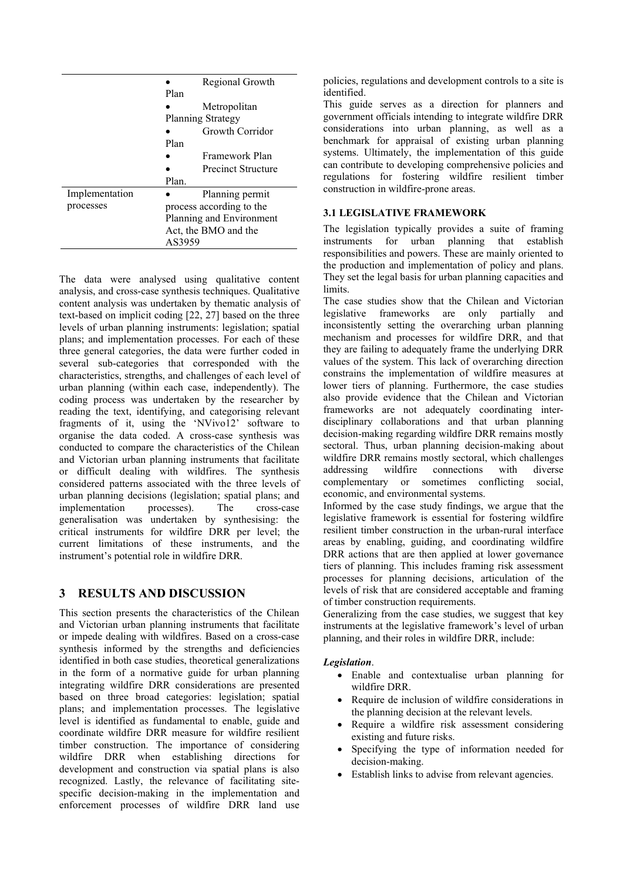|                |                                                  | Regional Growth    |  |
|----------------|--------------------------------------------------|--------------------|--|
|                | Plan                                             |                    |  |
|                |                                                  | Metropolitan       |  |
|                | Planning Strategy                                |                    |  |
|                |                                                  | Growth Corridor    |  |
|                |                                                  |                    |  |
|                |                                                  | Framework Plan     |  |
|                |                                                  | Precinct Structure |  |
|                | Plan.                                            |                    |  |
| Implementation |                                                  | Planning permit    |  |
| processes      | process according to the                         |                    |  |
|                | Planning and Environment<br>Act, the BMO and the |                    |  |
|                |                                                  |                    |  |
|                | AS3959                                           |                    |  |

The data were analysed using qualitative content analysis, and cross-case synthesis techniques. Qualitative content analysis was undertaken by thematic analysis of text-based on implicit coding [22, 27] based on the three levels of urban planning instruments: legislation; spatial plans; and implementation processes. For each of these three general categories, the data were further coded in several sub-categories that corresponded with the characteristics, strengths, and challenges of each level of urban planning (within each case, independently). The coding process was undertaken by the researcher by reading the text, identifying, and categorising relevant fragments of it, using the 'NVivo12' software to organise the data coded. A cross-case synthesis was conducted to compare the characteristics of the Chilean and Victorian urban planning instruments that facilitate or difficult dealing with wildfires. The synthesis considered patterns associated with the three levels of urban planning decisions (legislation; spatial plans; and implementation processes). The cross-case generalisation was undertaken by synthesising: the critical instruments for wildfire DRR per level; the current limitations of these instruments, and the instrument's potential role in wildfire DRR.

# 3 RESULTS AND DISCUSSION

This section presents the characteristics of the Chilean and Victorian urban planning instruments that facilitate or impede dealing with wildfires. Based on a cross-case synthesis informed by the strengths and deficiencies identified in both case studies, theoretical generalizations in the form of a normative guide for urban planning integrating wildfire DRR considerations are presented based on three broad categories: legislation; spatial plans; and implementation processes. The legislative level is identified as fundamental to enable, guide and coordinate wildfire DRR measure for wildfire resilient timber construction. The importance of considering wildfire DRR when establishing directions for development and construction via spatial plans is also recognized. Lastly, the relevance of facilitating sitespecific decision-making in the implementation and enforcement processes of wildfire DRR land use

policies, regulations and development controls to a site is identified.

This guide serves as a direction for planners and government officials intending to integrate wildfire DRR considerations into urban planning, as well as a benchmark for appraisal of existing urban planning systems. Ultimately, the implementation of this guide can contribute to developing comprehensive policies and regulations for fostering wildfire resilient timber construction in wildfire-prone areas.

# 3.1 LEGISLATIVE FRAMEWORK

The legislation typically provides a suite of framing instruments for urban planning that establish responsibilities and powers. These are mainly oriented to the production and implementation of policy and plans. They set the legal basis for urban planning capacities and limits.

The case studies show that the Chilean and Victorian legislative frameworks are only partially and inconsistently setting the overarching urban planning mechanism and processes for wildfire DRR, and that they are failing to adequately frame the underlying DRR values of the system. This lack of overarching direction constrains the implementation of wildfire measures at lower tiers of planning. Furthermore, the case studies also provide evidence that the Chilean and Victorian frameworks are not adequately coordinating interdisciplinary collaborations and that urban planning decision-making regarding wildfire DRR remains mostly sectoral. Thus, urban planning decision-making about wildfire DRR remains mostly sectoral, which challenges addressing wildfire connections with diverse complementary or sometimes conflicting social, economic, and environmental systems.

Informed by the case study findings, we argue that the legislative framework is essential for fostering wildfire resilient timber construction in the urban-rural interface areas by enabling, guiding, and coordinating wildfire DRR actions that are then applied at lower governance tiers of planning. This includes framing risk assessment processes for planning decisions, articulation of the levels of risk that are considered acceptable and framing of timber construction requirements.

Generalizing from the case studies, we suggest that key instruments at the legislative framework's level of urban planning, and their roles in wildfire DRR, include:

#### Legislation.

- Enable and contextualise urban planning for wildfire DRR.
- Require de inclusion of wildfire considerations in the planning decision at the relevant levels.
- Require a wildfire risk assessment considering existing and future risks.
- Specifying the type of information needed for decision-making.
- Establish links to advise from relevant agencies.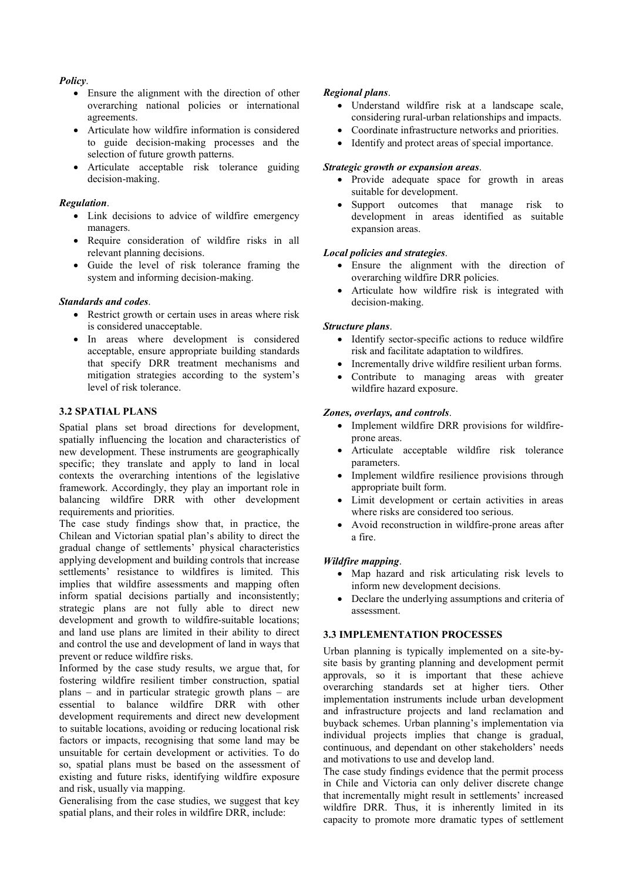#### Policy.

- Ensure the alignment with the direction of other overarching national policies or international agreements.
- Articulate how wildfire information is considered to guide decision-making processes and the selection of future growth patterns.
- Articulate acceptable risk tolerance guiding decision-making.

#### Regulation.

- Link decisions to advice of wildfire emergency managers.
- Require consideration of wildfire risks in all relevant planning decisions.
- Guide the level of risk tolerance framing the system and informing decision-making.

#### Standards and codes.

- Restrict growth or certain uses in areas where risk is considered unacceptable.
- In areas where development is considered acceptable, ensure appropriate building standards that specify DRR treatment mechanisms and mitigation strategies according to the system's level of risk tolerance.

# 3.2 SPATIAL PLANS

Spatial plans set broad directions for development, spatially influencing the location and characteristics of new development. These instruments are geographically specific; they translate and apply to land in local contexts the overarching intentions of the legislative framework. Accordingly, they play an important role in balancing wildfire DRR with other development requirements and priorities.

The case study findings show that, in practice, the Chilean and Victorian spatial plan's ability to direct the gradual change of settlements' physical characteristics applying development and building controls that increase settlements' resistance to wildfires is limited. This implies that wildfire assessments and mapping often inform spatial decisions partially and inconsistently; strategic plans are not fully able to direct new development and growth to wildfire-suitable locations; and land use plans are limited in their ability to direct and control the use and development of land in ways that prevent or reduce wildfire risks.

Informed by the case study results, we argue that, for fostering wildfire resilient timber construction, spatial plans – and in particular strategic growth plans – are essential to balance wildfire DRR with other development requirements and direct new development to suitable locations, avoiding or reducing locational risk factors or impacts, recognising that some land may be unsuitable for certain development or activities. To do so, spatial plans must be based on the assessment of existing and future risks, identifying wildfire exposure and risk, usually via mapping.

Generalising from the case studies, we suggest that key spatial plans, and their roles in wildfire DRR, include:

#### Regional plans.

- Understand wildfire risk at a landscape scale, considering rural-urban relationships and impacts.
- Coordinate infrastructure networks and priorities.
- Identify and protect areas of special importance.

#### Strategic growth or expansion areas.

- Provide adequate space for growth in areas suitable for development.
- Support outcomes that manage risk to development in areas identified as suitable expansion areas.

#### Local policies and strategies.

- Ensure the alignment with the direction of overarching wildfire DRR policies.
- Articulate how wildfire risk is integrated with decision-making.

#### Structure plans.

- Identify sector-specific actions to reduce wildfire risk and facilitate adaptation to wildfires.
- Incrementally drive wildfire resilient urban forms.
- Contribute to managing areas with greater wildfire hazard exposure.

#### Zones, overlays, and controls.

- Implement wildfire DRR provisions for wildfireprone areas.
- Articulate acceptable wildfire risk tolerance parameters.
- Implement wildfire resilience provisions through appropriate built form.
- Limit development or certain activities in areas where risks are considered too serious.
- Avoid reconstruction in wildfire-prone areas after a fire.

#### Wildfire mapping.

- Map hazard and risk articulating risk levels to inform new development decisions.
- Declare the underlying assumptions and criteria of assessment.

#### 3.3 IMPLEMENTATION PROCESSES

Urban planning is typically implemented on a site-bysite basis by granting planning and development permit approvals, so it is important that these achieve overarching standards set at higher tiers. Other implementation instruments include urban development and infrastructure projects and land reclamation and buyback schemes. Urban planning's implementation via individual projects implies that change is gradual, continuous, and dependant on other stakeholders' needs and motivations to use and develop land.

The case study findings evidence that the permit process in Chile and Victoria can only deliver discrete change that incrementally might result in settlements' increased wildfire DRR. Thus, it is inherently limited in its capacity to promote more dramatic types of settlement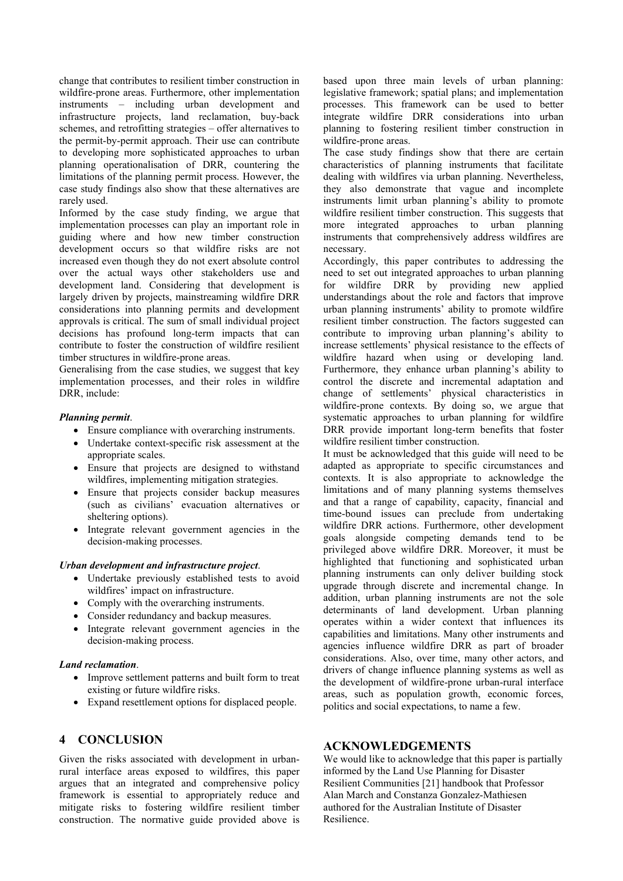change that contributes to resilient timber construction in wildfire-prone areas. Furthermore, other implementation instruments – including urban development and infrastructure projects, land reclamation, buy-back schemes, and retrofitting strategies – offer alternatives to the permit-by-permit approach. Their use can contribute to developing more sophisticated approaches to urban planning operationalisation of DRR, countering the limitations of the planning permit process. However, the case study findings also show that these alternatives are rarely used.

Informed by the case study finding, we argue that implementation processes can play an important role in guiding where and how new timber construction development occurs so that wildfire risks are not increased even though they do not exert absolute control over the actual ways other stakeholders use and development land. Considering that development is largely driven by projects, mainstreaming wildfire DRR considerations into planning permits and development approvals is critical. The sum of small individual project decisions has profound long-term impacts that can contribute to foster the construction of wildfire resilient timber structures in wildfire-prone areas.

Generalising from the case studies, we suggest that key implementation processes, and their roles in wildfire DRR, include:

#### Planning permit.

- Ensure compliance with overarching instruments.
- Undertake context-specific risk assessment at the appropriate scales.
- Ensure that projects are designed to withstand wildfires, implementing mitigation strategies.
- Ensure that projects consider backup measures (such as civilians' evacuation alternatives or sheltering options).
- Integrate relevant government agencies in the decision-making processes.

#### Urban development and infrastructure project.

- Undertake previously established tests to avoid wildfires' impact on infrastructure.
- Comply with the overarching instruments.
- Consider redundancy and backup measures.
- Integrate relevant government agencies in the decision-making process.

#### Land reclamation.

- Improve settlement patterns and built form to treat existing or future wildfire risks.
- Expand resettlement options for displaced people.

# 4 CONCLUSION

Given the risks associated with development in urbanrural interface areas exposed to wildfires, this paper argues that an integrated and comprehensive policy framework is essential to appropriately reduce and mitigate risks to fostering wildfire resilient timber construction. The normative guide provided above is

based upon three main levels of urban planning: legislative framework; spatial plans; and implementation processes. This framework can be used to better integrate wildfire DRR considerations into urban planning to fostering resilient timber construction in wildfire-prone areas.

The case study findings show that there are certain characteristics of planning instruments that facilitate dealing with wildfires via urban planning. Nevertheless, they also demonstrate that vague and incomplete instruments limit urban planning's ability to promote wildfire resilient timber construction. This suggests that more integrated approaches to urban planning instruments that comprehensively address wildfires are necessary.

Accordingly, this paper contributes to addressing the need to set out integrated approaches to urban planning for wildfire DRR by providing new applied understandings about the role and factors that improve urban planning instruments' ability to promote wildfire resilient timber construction. The factors suggested can contribute to improving urban planning's ability to increase settlements' physical resistance to the effects of wildfire hazard when using or developing land. Furthermore, they enhance urban planning's ability to control the discrete and incremental adaptation and change of settlements' physical characteristics in wildfire-prone contexts. By doing so, we argue that systematic approaches to urban planning for wildfire DRR provide important long-term benefits that foster wildfire resilient timber construction.

It must be acknowledged that this guide will need to be adapted as appropriate to specific circumstances and contexts. It is also appropriate to acknowledge the limitations and of many planning systems themselves and that a range of capability, capacity, financial and time-bound issues can preclude from undertaking wildfire DRR actions. Furthermore, other development goals alongside competing demands tend to be privileged above wildfire DRR. Moreover, it must be highlighted that functioning and sophisticated urban planning instruments can only deliver building stock upgrade through discrete and incremental change. In addition, urban planning instruments are not the sole determinants of land development. Urban planning operates within a wider context that influences its capabilities and limitations. Many other instruments and agencies influence wildfire DRR as part of broader considerations. Also, over time, many other actors, and drivers of change influence planning systems as well as the development of wildfire-prone urban-rural interface areas, such as population growth, economic forces, politics and social expectations, to name a few.

#### ACKNOWLEDGEMENTS

We would like to acknowledge that this paper is partially informed by the Land Use Planning for Disaster Resilient Communities [21] handbook that Professor Alan March and Constanza Gonzalez-Mathiesen authored for the Australian Institute of Disaster Resilience.